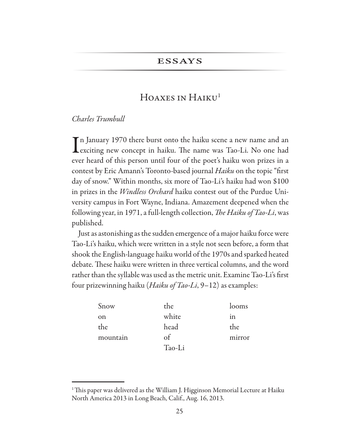## **ESSAYS**

# HOAXES IN HAIKU<sup>1</sup>

### Charles Trumbull

 $\mathbf T$ n January 1970 there burst onto the haiku scene a new name and an Lexciting new concept in haiku. The name was Tao-Li. No one had ever heard of this person until four of the poet's haiku won prizes in a contest by Eric Amann's Toronto-based journal Haiku on the topic "first day of snow." Within months, six more of Tao-Li's haiku had won \$100 in prizes in the *Windless Orchard* haiku contest out of the Purdue University campus in Fort Wayne, Indiana. Amazement deepened when the following year, in 1971, a full-length collection, The Haiku of Tao-Li, was published.

Just as astonishing as the sudden emergence of a major haiku force were Tao-Li's haiku, which were written in a style not seen before, a form that shook the English-language haiku world of the 1970s and sparked heated debate. These haiku were written in three vertical columns, and the word rather than the syllable was used as the metric unit. Examine Tao-Li's first four prizewinning haiku (*Haiku of Tao-Li*,  $9-12$ ) as examples:

| Snow     | the    | looms  |
|----------|--------|--------|
| on       | white  | 1n     |
| the      | head   | the    |
| mountain | of     | mirror |
|          | Tao-Li |        |

 $\,$ <sup>1</sup>This paper was delivered as the William J. Higginson Memorial Lecture at Haiku North America 2013 in Long Beach, Calif., Aug. 16, 2013.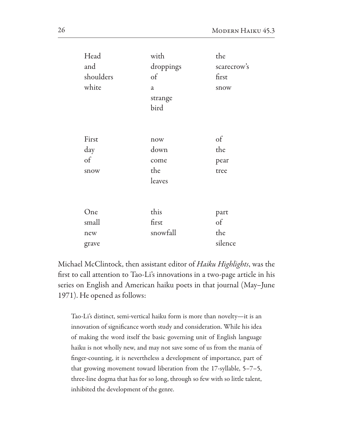| Head      | with           | the         |
|-----------|----------------|-------------|
| and       | droppings      | scarecrow's |
| shoulders | $\delta$       | first       |
| white     | $\mathfrak{a}$ | snow        |
|           | strange        |             |
|           | bird           |             |
|           |                |             |
|           |                |             |
| First     | now            | $\sigma$    |
| day       | down           | the         |
| $\delta$  | come           | pear        |
| snow      | the            | tree        |
|           | leaves         |             |
|           |                |             |
|           |                |             |
| One       | this           | part        |
| small     | first          | $\sigma$    |
| new       | snowfall       | the         |
| grave     |                | silence     |

Michael McClintock, then assistant editor of Haiku Highlights, was the first to call attention to Tao-Li's innovations in a two-page article in his series on English and American haiku poets in that journal (May-June 1971). He opened as follows:

Tao-Li's distinct, semi-vertical haiku form is more than novelty-it is an innovation of significance worth study and consideration. While his idea of making the word itself the basic governing unit of English language haiku is not wholly new, and may not save some of us from the mania of finger-counting, it is nevertheless a development of importance, part of that growing movement toward liberation from the 17-syllable, 5-7-5, three-line dogma that has for so long, through so few with so little talent, inhibited the development of the genre.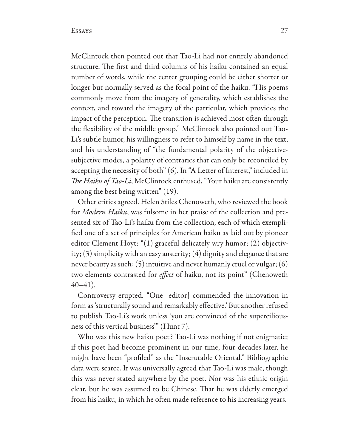McClintock then pointed out that Tao-Li had not entirely abandoned structure. The first and third columns of his haiku contained an equal number of words, while the center grouping could be either shorter or longer but normally served as the focal point of the haiku. "His poems commonly move from the imagery of generality, which establishes the context, and toward the imagery of the particular, which provides the impact of the perception. The transition is achieved most often through the flexibility of the middle group." McClintock also pointed out Tao-Li's subtle humor, his willingness to refer to himself by name in the text, and his understanding of "the fundamental polarity of the objectivesubjective modes, a polarity of contraries that can only be reconciled by accepting the necessity of both" (6). In "A Letter of Interest," included in The Haiku of Tao-Li, McClintock enthused, "Your haiku are consistently among the best being written" (19).

Other critics agreed. Helen Stiles Chenoweth, who reviewed the book for *Modern Haiku*, was fulsome in her praise of the collection and presented six of Tao-Li's haiku from the collection, each of which exemplified one of a set of principles for American haiku as laid out by pioneer editor Clement Hoyt: "(1) graceful delicately wry humor; (2) objectivity; (3) simplicity with an easy austerity; (4) dignity and elegance that are never beauty as such;  $(5)$  intuitive and never humanly cruel or vulgar;  $(6)$ two elements contrasted for *effect* of haiku, not its point" (Chenoweth  $40-41$ ).

Controversy erupted. "One [editor] commended the innovation in form as 'structurally sound and remarkably effective.' But another refused to publish Tao-Li's work unless 'you are convinced of the superciliousness of this vertical business" (Hunt 7).

Who was this new haiku poet? Tao-Li was nothing if not enigmatic; if this poet had become prominent in our time, four decades later, he might have been "profiled" as the "Inscrutable Oriental." Bibliographic data were scarce. It was universally agreed that Tao-Li was male, though this was never stated anywhere by the poet. Nor was his ethnic origin clear, but he was assumed to be Chinese. That he was elderly emerged from his haiku, in which he often made reference to his increasing years.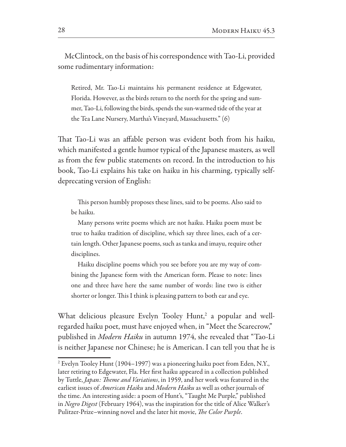McClintock, on the basis of his correspondence with Tao-Li, provided some rudimentary information:

Retired, Mr. Tao-Li maintains his permanent residence at Edgewater, Florida. However, as the birds return to the north for the spring and summer, Tao-Li, following the birds, spends the sun-warmed tide of the year at the Tea Lane Nursery, Martha's Vineyard, Massachusetts." (6)

That Tao-Li was an affable person was evident both from his haiku, which manifested a gentle humor typical of the Japanese masters, as well as from the few public statements on record. In the introduction to his book, Tao-Li explains his take on haiku in his charming, typically selfdeprecating version of English:

This person humbly proposes these lines, said to be poems. Also said to be haiku.

Many persons write poems which are not haiku. Haiku poem must be true to haiku tradition of discipline, which say three lines, each of a certain length. Other Japanese poems, such as tanka and imayu, require other disciplines.

Haiku discipline poems which you see before you are my way of combining the Japanese form with the American form. Please to note: lines one and three have here the same number of words: line two is either shorter or longer. This I think is pleasing pattern to both ear and eye.

What delicious pleasure Evelyn Tooley Hunt,<sup>2</sup> a popular and wellregarded haiku poet, must have enjoyed when, in "Meet the Scarecrow," published in Modern Haiku in autumn 1974, she revealed that "Tao-Li is neither Japanese nor Chinese; he is American. I can tell you that he is

<sup>&</sup>lt;sup>2</sup> Evelyn Tooley Hunt (1904–1997) was a pioneering haiku poet from Eden, N.Y., later retiring to Edgewater, Fla. Her first haiku appeared in a collection published by Tuttle, *Japan: Theme and Variations*, in 1959, and her work was featured in the earliest issues of American Haiku and Modern Haiku as well as other journals of the time. An interesting aside: a poem of Hunt's, "Taught Me Purple," published in Negro Digest (February 1964), was the inspiration for the title of Alice Walker's Pulitzer-Prize–winning novel and the later hit movie, *The Color Purple*.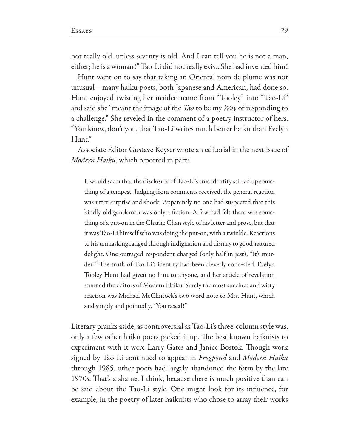not really old, unless seventy is old. And I can tell you he is not a man, either; he is a woman!" Tao-Li did not really exist. She had invented him!

Hunt went on to say that taking an Oriental nom de plume was not unusual—many haiku poets, both Japanese and American, had done so. Hunt enjoyed twisting her maiden name from "Tooley" into "Tao-Li" and said she "meant the image of the  $Ta\sigma$  to be my  $Wa\gamma$  of responding to a challenge." She reveled in the comment of a poetry instructor of hers, "You know, don't you, that Tao-Li writes much better haiku than Evelyn Hunt."

Associate Editor Gustave Keyser wrote an editorial in the next issue of Modern Haiku, which reported in part:

It would seem that the disclosure of Tao-Li's true identity stirred up something of a tempest. Judging from comments received, the general reaction was utter surprise and shock. Apparently no one had suspected that this kindly old gentleman was only a fiction. A few had felt there was something of a put-on in the Charlie Chan style of his letter and prose, but that it was Tao-Li himself who was doing the put-on, with a twinkle. Reactions to his unmasking ranged through indignation and dismay to good-natured delight. One outraged respondent charged (only half in jest), "It's murder!" The truth of Tao-Li's identity had been cleverly concealed. Evelyn Tooley Hunt had given no hint to anyone, and her article of revelation stunned the editors of Modern Haiku. Surely the most succinct and witty reaction was Michael McClintock's two word note to Mrs. Hunt, which said simply and pointedly, "You rascal!"

Literary pranks aside, as controversial as Tao-Li's three-column style was, only a few other haiku poets picked it up. The best known haikuists to experiment with it were Larry Gates and Janice Bostok. Though work signed by Tao-Li continued to appear in Frogpond and Modern Haiku through 1985, other poets had largely abandoned the form by the late 1970s. That's a shame, I think, because there is much positive than can be said about the Tao-Li style. One might look for its influence, for example, in the poetry of later haikuists who chose to array their works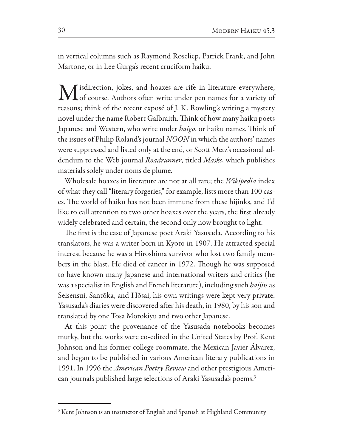in vertical columns such as Raymond Roseliep, Patrick Frank, and John Martone, or in Lee Gurga's recent cruciform haiku.

Misdirection, jokes, and hoaxes are rife in literature everywhere,<br>Mof course. Authors often write under pen names for a variety of reasons; think of the recent exposé of J. K. Rowling's writing a mystery novel under the name Robert Galbraith. Think of how many haiku poets Japanese and Western, who write under *haigo*, or haiku names. Think of the issues of Philip Roland's journal *NOON* in which the authors' names were suppressed and listed only at the end, or Scott Metz's occasional addendum to the Web journal Roadrunner, titled Masks, which publishes materials solely under noms de plume.

Wholesale hoaxes in literature are not at all rare; the Wikipedia index of what they call "literary forgeries," for example, lists more than 100 cases. The world of haiku has not been immune from these hijinks, and I'd like to call attention to two other hoaxes over the years, the first already widely celebrated and certain, the second only now brought to light.

The first is the case of Japanese poet Araki Yasusada. According to his translators, he was a writer born in Kyoto in 1907. He attracted special interest because he was a Hiroshima survivor who lost two family members in the blast. He died of cancer in 1972. Though he was supposed to have known many Japanese and international writers and critics (he was a specialist in English and French literature), including such *haijin* as Seisensui, Santōka, and Hōsai, his own writings were kept very private. Yasusada's diaries were discovered after his death, in 1980, by his son and translated by one Tosa Motokiyu and two other Japanese.

At this point the provenance of the Yasusada notebooks becomes murky, but the works were co-edited in the United States by Prof. Kent Johnson and his former college roommate, the Mexican Javier Álvarez, and began to be published in various American literary publications in 1991. In 1996 the *American Poetry Review* and other prestigious American journals published large selections of Araki Yasusada's poems.<sup>3</sup>

<sup>&</sup>lt;sup>3</sup> Kent Johnson is an instructor of English and Spanish at Highland Community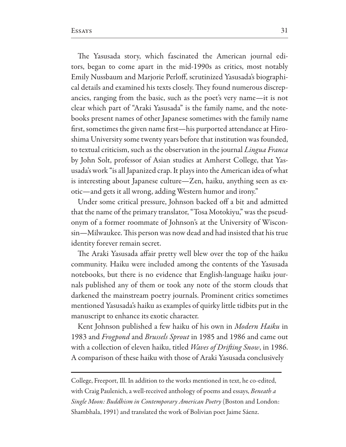The Yasusada story, which fascinated the American journal editors, began to come apart in the mid-1990s as critics, most notably Emily Nussbaum and Marjorie Perloff, scrutinized Yasusada's biographical details and examined his texts closely. They found numerous discrepancies, ranging from the basic, such as the poet's very name-it is not clear which part of "Araki Yasusada" is the family name, and the notebooks present names of other Japanese sometimes with the family name first, sometimes the given name first-his purported attendance at Hiroshima University some twenty years before that institution was founded, to textual criticism, such as the observation in the journal Lingua Franca by John Solt, professor of Asian studies at Amherst College, that Yasusada's work "is all Japanized crap. It plays into the American idea of what is interesting about Japanese culture—Zen, haiku, anything seen as exotic-and gets it all wrong, adding Western humor and irony."

Under some critical pressure, Johnson backed off a bit and admitted that the name of the primary translator, "Tosa Motokiyu," was the pseudonym of a former roommate of Johnson's at the University of Wisconsin—Milwaukee. This person was now dead and had insisted that his true identity forever remain secret.

The Araki Yasusada affair pretty well blew over the top of the haiku community. Haiku were included among the contents of the Yasusada notebooks, but there is no evidence that English-language haiku journals published any of them or took any note of the storm clouds that darkened the mainstream poetry journals. Prominent critics sometimes mentioned Yasusada's haiku as examples of quirky little tidbits put in the manuscript to enhance its exotic character.

Kent Johnson published a few haiku of his own in Modern Haiku in 1983 and Frogpond and Brussels Sprout in 1985 and 1986 and came out with a collection of eleven haiku, titled *Waves of Drifting Snow*, in 1986. A comparison of these haiku with those of Araki Yasusada conclusively

College, Freeport, Ill. In addition to the works mentioned in text, he co-edited, with Craig Paulenich, a well-received anthology of poems and essays, Beneath a Single Moon: Buddhism in Contemporary American Poetry (Boston and London: Shambhala, 1991) and translated the work of Bolivian poet Jaime Sáenz.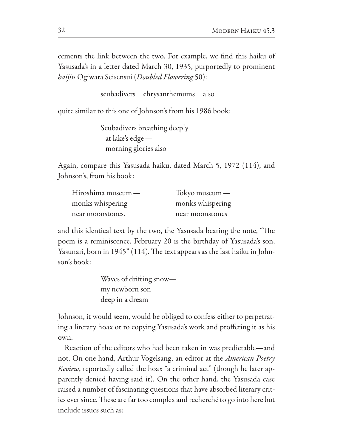cements the link between the two. For example, we find this haiku of Yasusada's in a letter dated March 30, 1935, purportedly to prominent haijin Ogiwara Seisensui (Doubled Flowering 50):

> scubadivers chrysanthemums also

quite similar to this one of Johnson's from his 1986 book:

```
Scubadivers breathing deeply
at lake's edge -morning glories also
```
Again, compare this Yasusada haiku, dated March 5, 1972 (114), and Johnson's, from his book:

| Hiroshima museum — | Tokyo museum $-$ |
|--------------------|------------------|
| monks whispering   | monks whispering |
| near moonstones.   | near moonstones  |

and this identical text by the two, the Yasusada bearing the note, "The poem is a reminiscence. February 20 is the birthday of Yasusada's son, Yasunari, born in 1945" (114). The text appears as the last haiku in Johnson's book:

> Waves of drifting snow my newborn son deep in a dream

Johnson, it would seem, would be obliged to confess either to perpetrating a literary hoax or to copying Yasusada's work and proffering it as his own.

Reaction of the editors who had been taken in was predictable—and not. On one hand, Arthur Vogelsang, an editor at the *American Poetry Review*, reportedly called the hoax "a criminal act" (though he later apparently denied having said it). On the other hand, the Yasusada case raised a number of fascinating questions that have absorbed literary critics ever since. These are far too complex and recherché to go into here but include issues such as: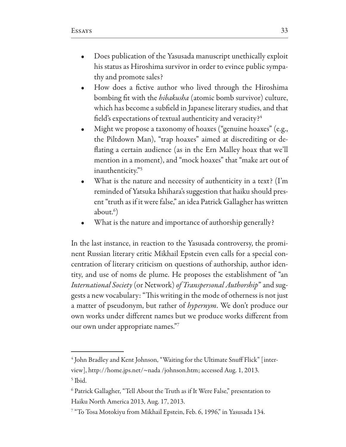- Does publication of the Yasusada manuscript unethically exploit his status as Hiroshima survivor in order to evince public sympathy and promote sales?
- How does a fictive author who lived through the Hiroshima bombing fit with the *hibakusha* (atomic bomb survivor) culture, which has become a subfield in Japanese literary studies, and that field's expectations of textual authenticity and veracity?4
- Might we propose a taxonomy of hoaxes ("genuine hoaxes" (e.g., the Piltdown Man), "trap hoaxes" aimed at discrediting or deflating a certain audience (as in the Ern Malley hoax that we'll mention in a moment), and "mock hoaxes" that "make art out of inauthenticity."5
- What is the nature and necessity of authenticity in a text? (I'm reminded of Yatsuka Ishihara's suggestion that haiku should present "truth as if it were false," an idea Patrick Gallagher has written  $about.^{6}$ )
- What is the nature and importance of authorship generally?

In the last instance, in reaction to the Yasusada controversy, the prominent Russian literary critic Mikhail Epstein even calls for a special concentration of literary criticism on questions of authorship, author identity, and use of noms de plume. He proposes the establishment of "an International Society (or Network) of Transpersonal Authorship" and suggests a new vocabulary: "This writing in the mode of otherness is not just a matter of pseudonym, but rather of hypernym. We don't produce our own works under different names but we produce works different from our own under appropriate names."7

<sup>&</sup>lt;sup>4</sup> John Bradley and Kent Johnson, "Waiting for the Ultimate Snuff Flick" [interview], http://home.jps.net/~nada/johnson.htm; accessed Aug. 1, 2013. <sup>5</sup> Ibid.

<sup>&</sup>lt;sup>6</sup> Patrick Gallagher, "Tell About the Truth as if It Were False," presentation to Haiku North America 2013, Aug. 17, 2013.

<sup>&</sup>lt;sup>7</sup> "To Tosa Motokiyu from Mikhail Epstein, Feb. 6, 1996," in Yasusada 134.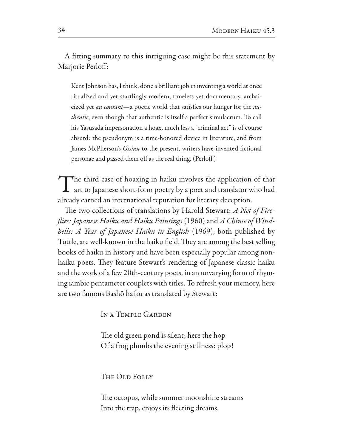A fitting summary to this intriguing case might be this statement by Marjorie Perloff:

Kent Johnson has, I think, done a brilliant job in inventing a world at once ritualized and yet startlingly modern, timeless yet documentary, archaicized yet *au courant*—a poetic world that satisfies our hunger for the *authentic*, even though that authentic is itself a perfect simulacrum. To call his Yasusada impersonation a hoax, much less a "criminal act" is of course absurd: the pseudonym is a time-honored device in literature, and from James McPherson's Ossian to the present, writers have invented fictional personae and passed them off as the real thing. (Perloff)

The third case of hoaxing in haiku involves the application of that<br>art to Japanese short-form poetry by a poet and translator who had already earned an international reputation for literary deception.

The two collections of translations by Harold Stewart: A Net of Fireflies: Japanese Haiku and Haiku Paintings (1960) and A Chime of Windbells: A Year of Japanese Haiku in English (1969), both published by Tuttle, are well-known in the haiku field. They are among the best selling books of haiku in history and have been especially popular among nonhaiku poets. They feature Stewart's rendering of Japanese classic haiku and the work of a few 20th-century poets, in an unvarying form of rhyming iambic pentameter couplets with titles. To refresh your memory, here are two famous Bashō haiku as translated by Stewart:

IN A TEMPLE GARDEN

The old green pond is silent; here the hop Of a frog plumbs the evening stillness: plop!

#### THE OLD FOLLY

The octopus, while summer moonshine streams Into the trap, enjoys its fleeting dreams.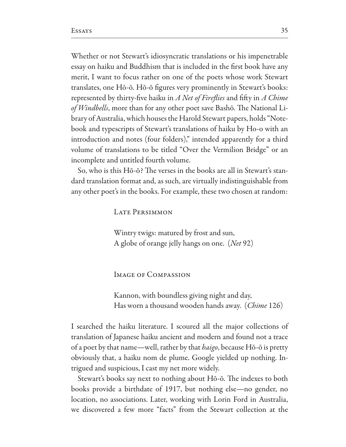Whether or not Stewart's idiosyncratic translations or his impenetrable essay on haiku and Buddhism that is included in the first book have any merit, I want to focus rather on one of the poets whose work Stewart translates, one Hō-ō. Hō-ō figures very prominently in Stewart's books: represented by thirty-five haiku in A Net of Fireflies and fifty in A Chime of Windbells, more than for any other poet save Bashō. The National Library of Australia, which houses the Harold Stewart papers, holds "Notebook and typescripts of Stewart's translations of haiku by Ho-o with an introduction and notes (four folders)," intended apparently for a third volume of translations to be titled "Over the Vermilion Bridge" or an incomplete and untitled fourth volume.

So, who is this Hō-ō? The verses in the books are all in Stewart's standard translation format and, as such, are virtually indistinguishable from any other poet's in the books. For example, these two chosen at random:

**LATE PERSIMMON** 

Wintry twigs: matured by frost and sun, A globe of orange jelly hangs on one. (Net 92)

**IMAGE OF COMPASSION** 

Kannon, with boundless giving night and day, Has worn a thousand wooden hands away. (Chime 126)

I searched the haiku literature. I scoured all the major collections of translation of Japanese haiku ancient and modern and found not a trace of a poet by that name—well, rather by that *haigo*, because Hō-ō is pretty obviously that, a haiku nom de plume. Google yielded up nothing. Intrigued and suspicious, I cast my net more widely.

Stewart's books say next to nothing about Hō-ō. The indexes to both books provide a birthdate of 1917, but nothing else-no gender, no location, no associations. Later, working with Lorin Ford in Australia, we discovered a few more "facts" from the Stewart collection at the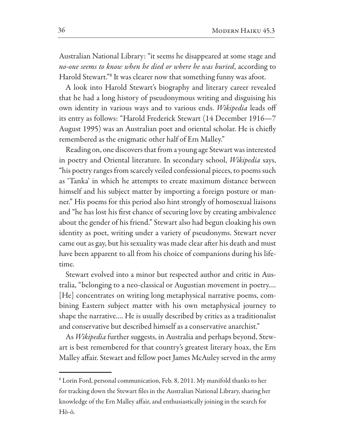Australian National Library: "it seems he disappeared at some stage and no-one seems to know when he died or where he was buried, according to Harold Stewart."<sup>8</sup> It was clearer now that something funny was afoot.

A look into Harold Stewart's biography and literary career revealed that he had a long history of pseudonymous writing and disguising his own identity in various ways and to various ends. Wikipedia leads off its entry as follows: "Harold Frederick Stewart (14 December 1916–7 August 1995) was an Australian poet and oriental scholar. He is chiefly remembered as the enigmatic other half of Ern Malley."

Reading on, one discovers that from a young age Stewart was interested in poetry and Oriental literature. In secondary school, *Wikipedia* says, "his poetry ranges from scarcely veiled confessional pieces, to poems such as 'Tanka' in which he attempts to create maximum distance between himself and his subject matter by importing a foreign posture or manner." His poems for this period also hint strongly of homosexual liaisons and "he has lost his first chance of securing love by creating ambivalence about the gender of his friend." Stewart also had begun cloaking his own identity as poet, writing under a variety of pseudonyms. Stewart never came out as gay, but his sexuality was made clear after his death and must have been apparent to all from his choice of companions during his lifetime.

Stewart evolved into a minor but respected author and critic in Australia, "belonging to a neo-classical or Augustian movement in poetry.... [He] concentrates on writing long metaphysical narrative poems, combining Eastern subject matter with his own metaphysical journey to shape the narrative.... He is usually described by critics as a traditionalist and conservative but described himself as a conservative anarchist."

As *Wikipedia* further suggests, in Australia and perhaps beyond, Stewart is best remembered for that country's greatest literary hoax, the Ern Malley affair. Stewart and fellow poet James McAuley served in the army

<sup>&</sup>lt;sup>8</sup> Lorin Ford, personal communication, Feb. 8, 2011. My manifold thanks to her for tracking down the Stewart files in the Australian National Library, sharing her knowledge of the Ern Malley affair, and enthusiastically joining in the search for Hō-ō.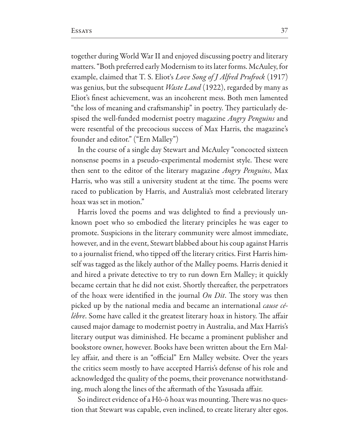together during World War II and enjoyed discussing poetry and literary matters. "Both preferred early Modernism to its later forms. McAuley, for example, claimed that T. S. Eliot's Love Song of J Alfred Prufrock (1917) was genius, but the subsequent *Waste Land* (1922), regarded by many as Eliot's finest achievement, was an incoherent mess. Both men lamented "the loss of meaning and craftsmanship" in poetry. They particularly despised the well-funded modernist poetry magazine Angry Penguins and were resentful of the precocious success of Max Harris, the magazine's founder and editor." ("Ern Malley")

In the course of a single day Stewart and McAuley "concocted sixteen nonsense poems in a pseudo-experimental modernist style. These were then sent to the editor of the literary magazine *Angry Penguins*, Max Harris, who was still a university student at the time. The poems were raced to publication by Harris, and Australia's most celebrated literary hoax was set in motion."

Harris loved the poems and was delighted to find a previously unknown poet who so embodied the literary principles he was eager to promote. Suspicions in the literary community were almost immediate, however, and in the event, Stewart blabbed about his coup against Harris to a journalist friend, who tipped off the literary critics. First Harris himself was tagged as the likely author of the Malley poems. Harris denied it and hired a private detective to try to run down Ern Malley; it quickly became certain that he did not exist. Shortly thereafter, the perpetrators of the hoax were identified in the journal  $On$  Dit. The story was then picked up by the national media and became an international *cause cé*lèbre. Some have called it the greatest literary hoax in history. The affair caused major damage to modernist poetry in Australia, and Max Harris's literary output was diminished. He became a prominent publisher and bookstore owner, however. Books have been written about the Ern Malley affair, and there is an "official" Ern Malley website. Over the years the critics seem mostly to have accepted Harris's defense of his role and acknowledged the quality of the poems, their provenance notwithstanding, much along the lines of the aftermath of the Yasusada affair.

So indirect evidence of a Hō-ō hoax was mounting. There was no question that Stewart was capable, even inclined, to create literary alter egos.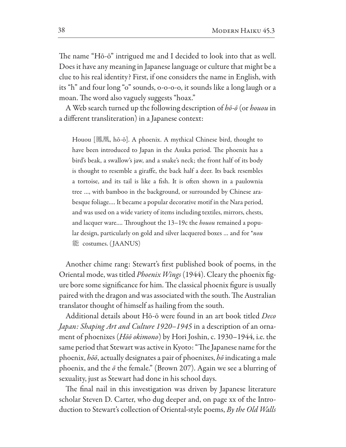The name "Hō-ō" intrigued me and I decided to look into that as well. Does it have any meaning in Japanese language or culture that might be a clue to his real identity? First, if one considers the name in English, with its "h" and four long "o" sounds, o-o-o-o, it sounds like a long laugh or a moan. The word also vaguely suggests "hoax."

A Web search turned up the following description of  $h\bar{\sigma}\text{-}\bar{\sigma}$  (or houou in a different transliteration) in a Japanese context:

Houou [鳳凰, hō-ō]. A phoenix. A mythical Chinese bird, thought to have been introduced to Japan in the Asuka period. The phoenix has a bird's beak, a swallow's jaw, and a snake's neck; the front half of its body is thought to resemble a giraffe, the back half a deer. Its back resembles a tortoise, and its tail is like a fish. It is often shown in a paulownia tree ..., with bamboo in the background, or surrounded by Chinese arabesque foliage.... It became a popular decorative motif in the Nara period, and was used on a wide variety of items including textiles, mirrors, chests, and lacquer ware.... Throughout the 13–19c the *houou* remained a popular design, particularly on gold and silver lacquered boxes ... and for *\*nou* 能 costumes. (JAANUS)

Another chime rang: Stewart's first published book of poems, in the Oriental mode, was titled *Phoenix Wings* (1944). Cleary the phoenix figure bore some significance for him. The classical phoenix figure is usually paired with the dragon and was associated with the south. The Australian translator thought of himself as hailing from the south.

Additional details about Hō-ō were found in an art book titled Deco Japan: Shaping Art and Culture 1920-1945 in a description of an ornament of phoenixes (Hōō okimono) by Hori Joshin, c. 1930–1944, i.e. the same period that Stewart was active in Kyoto: "The Japanese name for the phoenix, hōō, actually designates a pair of phoenixes, hō indicating a male phoenix, and the  $\bar{\rho}$  the female." (Brown 207). Again we see a blurring of sexuality, just as Stewart had done in his school days.

The final nail in this investigation was driven by Japanese literature scholar Steven D. Carter, who dug deeper and, on page xx of the Introduction to Stewart's collection of Oriental-style poems, By the Old Walls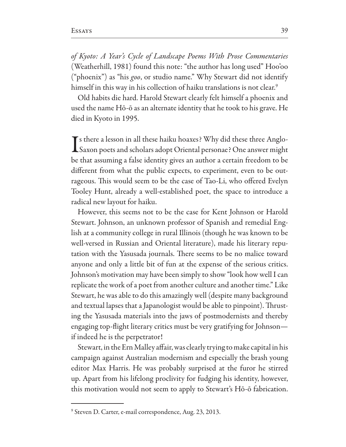of Kyoto: A Year's Cycle of Landscape Poems With Prose Commentaries (Weatherhill, 1981) found this note: "the author has long used" Hoo'oo ("phoenix") as "his goo, or studio name." Why Stewart did not identify himself in this way in his collection of haiku translations is not clear.<sup>9</sup>

Old habits die hard. Harold Stewart clearly felt himself a phoenix and used the name Hō-ō as an alternate identity that he took to his grave. He died in Kyoto in 1995.

 $\blacktriangleright$  s there a lesson in all these haiku hoaxes? Why did these three Anglo-Saxon poets and scholars adopt Oriental personae? One answer might be that assuming a false identity gives an author a certain freedom to be different from what the public expects, to experiment, even to be outrageous. This would seem to be the case of Tao-Li, who offered Evelyn Tooley Hunt, already a well-established poet, the space to introduce a radical new layout for haiku.

However, this seems not to be the case for Kent Johnson or Harold Stewart. Johnson, an unknown professor of Spanish and remedial English at a community college in rural Illinois (though he was known to be well-versed in Russian and Oriental literature), made his literary reputation with the Yasusada journals. There seems to be no malice toward anyone and only a little bit of fun at the expense of the serious critics. Johnson's motivation may have been simply to show "look how well I can replicate the work of a poet from another culture and another time." Like Stewart, he was able to do this amazingly well (despite many background and textual lapses that a Japanologist would be able to pinpoint). Thrusting the Yasusada materials into the jaws of postmodernists and thereby engaging top-flight literary critics must be very gratifying for Johnsonif indeed he is the perpetrator!

Stewart, in the Ern Malley affair, was clearly trying to make capital in his campaign against Australian modernism and especially the brash young editor Max Harris. He was probably surprised at the furor he stirred up. Apart from his lifelong proclivity for fudging his identity, however, this motivation would not seem to apply to Stewart's Hō-ō fabrication.

<sup>&</sup>lt;sup>9</sup> Steven D. Carter, e-mail correspondence, Aug. 23, 2013.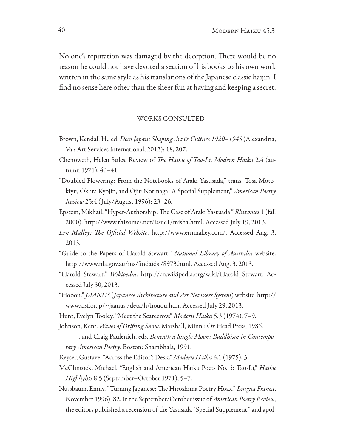No one's reputation was damaged by the deception. There would be no reason he could not have devoted a section of his books to his own work written in the same style as his translations of the Japanese classic haijin. I find no sense here other than the sheer fun at having and keeping a secret.

#### WORKS CONSULTED

- Brown, Kendall H., ed. *Deco Japan: Shaping Art & Culture 1920–1945* (Alexandria, Va.: Art Services International, 2012): 18, 207.
- Chenoweth, Helen Stiles. Review of *The Haiku of Tao-Li. Modern Haiku* 2.4 (autumn 1971), 40-41.
- "Doubled Flowering: From the Notebooks of Araki Yasusada," trans. Tosa Motokiyu, Okura Kyojin, and Ojiu Norinaga: A Special Supplement," American Poetry Review 25:4 (July/August 1996): 23-26.
- Epstein, Mikhail. "Hyper-Authorship: The Case of Araki Yasusada." Rhizomes 1 (fall 2000). http://www.rhizomes.net/issue1/misha.html. Accessed July 19, 2013.
- *Ern Malley: The Official Website*. http://www.ernmalley.com/. Accessed Aug. 3, 2013.
- "Guide to the Papers of Harold Stewart." National Library of Australia website. http://www.nla.gov.au/ms/findaids /8973.html. Accessed Aug. 3, 2013.
- "Harold Stewart." Wikipedia. http://en.wikipedia.org/wiki/Harold\_Stewart. Accessed July 30, 2013.
- "Hooou." JAANUS (Japanese Architecture and Art Net users System) website. http:// www.aisf.or.jp/~jaanus /deta/h/houou.htm. Accessed July 29, 2013.
- Hunt, Evelyn Tooley. "Meet the Scarecrow." Modern Haiku 5.3 (1974), 7–9.
- Johnson, Kent. Waves of Drifting Snow. Marshall, Minn.: Ox Head Press, 1986.
- ---, and Craig Paulenich, eds. Beneath a Single Moon: Buddhism in Contemporary American Poetry. Boston: Shambhala, 1991.
- Keyser, Gustave. "Across the Editor's Desk." Modern Haiku 6.1 (1975), 3.
- McClintock, Michael. "English and American Haiku Poets No. 5: Tao-Li," Haiku Highlights 8:5 (September-October 1971), 5-7.
- Nussbaum, Emily. "Turning Japanese: The Hiroshima Poetry Hoax." Lingua Franca, November 1996), 82. In the September/October issue of *American Poetry Review*, the editors published a recension of the Yasusada "Special Supplement," and apol-